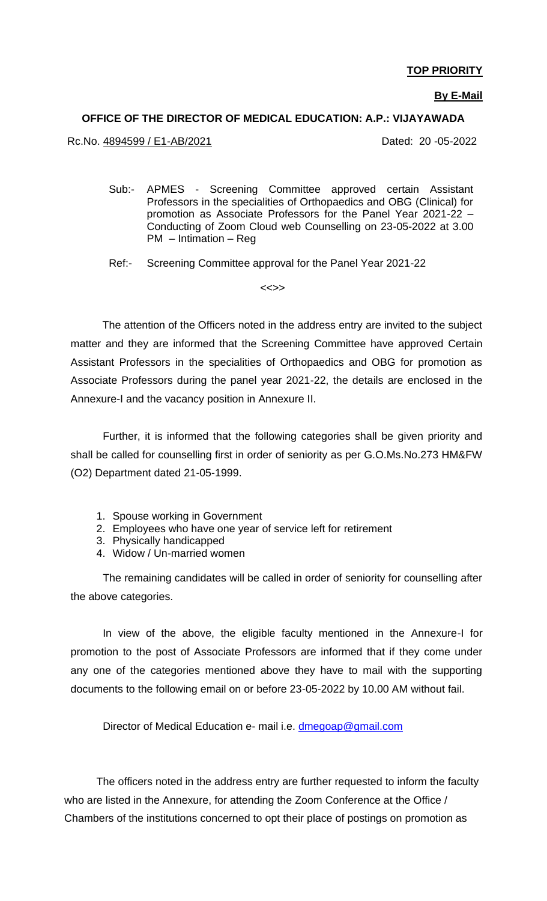### **TOP PRIORITY**

#### **By E-Mail**

#### **OFFICE OF THE DIRECTOR OF MEDICAL EDUCATION: A.P.: VIJAYAWADA**

Rc.No. 4894599 / E1-AB/2021 Dated: 20 -05-2022

- Sub:- APMES Screening Committee approved certain Assistant Professors in the specialities of Orthopaedics and OBG (Clinical) for promotion as Associate Professors for the Panel Year 2021-22 – Conducting of Zoom Cloud web Counselling on 23-05-2022 at 3.00 PM – Intimation – Reg
- Ref:- Screening Committee approval for the Panel Year 2021-22

 $\left\langle \left\langle \cdot \right\rangle \right\rangle$ 

 The attention of the Officers noted in the address entry are invited to the subject matter and they are informed that the Screening Committee have approved Certain Assistant Professors in the specialities of Orthopaedics and OBG for promotion as Associate Professors during the panel year 2021-22, the details are enclosed in the Annexure-I and the vacancy position in Annexure II.

Further, it is informed that the following categories shall be given priority and shall be called for counselling first in order of seniority as per G.O.Ms.No.273 HM&FW (O2) Department dated 21-05-1999.

- 1. Spouse working in Government
- 2. Employees who have one year of service left for retirement
- 3. Physically handicapped
- 4. Widow / Un-married women

The remaining candidates will be called in order of seniority for counselling after the above categories.

In view of the above, the eligible faculty mentioned in the Annexure-I for promotion to the post of Associate Professors are informed that if they come under any one of the categories mentioned above they have to mail with the supporting documents to the following email on or before 23-05-2022 by 10.00 AM without fail.

Director of Medical Education e- mail i.e. [dmegoap@gmail.com](mailto:dmegoap@gmail.com)

The officers noted in the address entry are further requested to inform the faculty who are listed in the Annexure, for attending the Zoom Conference at the Office / Chambers of the institutions concerned to opt their place of postings on promotion as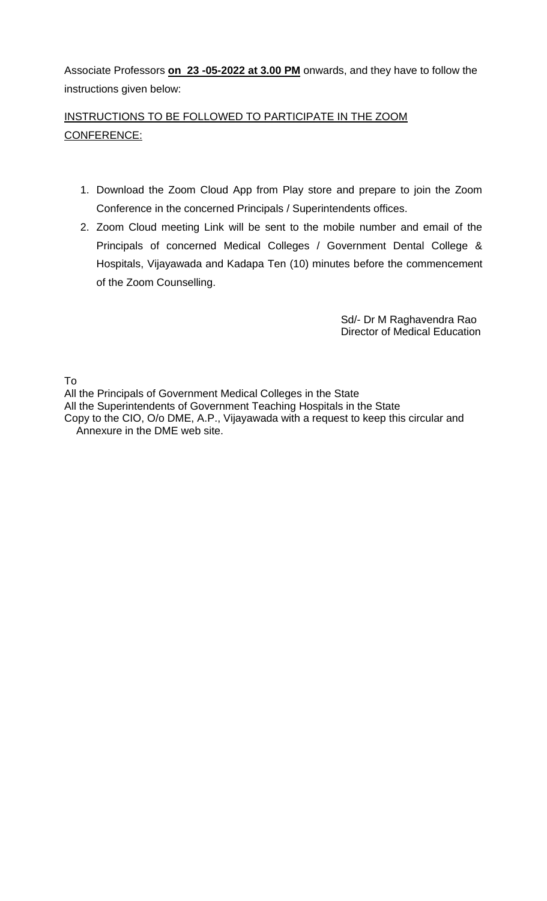Associate Professors **on 23 -05-2022 at 3.00 PM** onwards, and they have to follow the instructions given below:

# INSTRUCTIONS TO BE FOLLOWED TO PARTICIPATE IN THE ZOOM CONFERENCE:

- 1. Download the Zoom Cloud App from Play store and prepare to join the Zoom Conference in the concerned Principals / Superintendents offices.
- 2. Zoom Cloud meeting Link will be sent to the mobile number and email of the Principals of concerned Medical Colleges / Government Dental College & Hospitals, Vijayawada and Kadapa Ten (10) minutes before the commencement of the Zoom Counselling.

 Sd/- Dr M Raghavendra Rao Director of Medical Education

To

All the Principals of Government Medical Colleges in the State All the Superintendents of Government Teaching Hospitals in the State

Copy to the CIO, O/o DME, A.P., Vijayawada with a request to keep this circular and Annexure in the DME web site.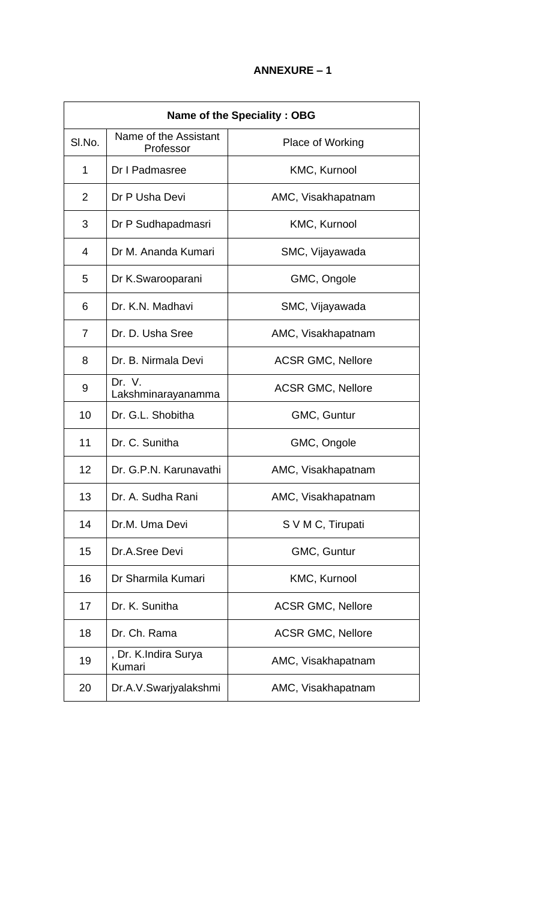| <b>Name of the Speciality: OBG</b> |                                    |                          |  |  |
|------------------------------------|------------------------------------|--------------------------|--|--|
| SI.No.                             | Name of the Assistant<br>Professor | Place of Working         |  |  |
| 1                                  | Dr I Padmasree                     | KMC, Kurnool             |  |  |
| 2                                  | Dr P Usha Devi                     | AMC, Visakhapatnam       |  |  |
| 3                                  | Dr P Sudhapadmasri                 | KMC, Kurnool             |  |  |
| 4                                  | Dr M. Ananda Kumari                | SMC, Vijayawada          |  |  |
| 5                                  | Dr K.Swarooparani                  | GMC, Ongole              |  |  |
| 6                                  | Dr. K.N. Madhavi                   | SMC, Vijayawada          |  |  |
| 7                                  | Dr. D. Usha Sree                   | AMC, Visakhapatnam       |  |  |
| 8                                  | Dr. B. Nirmala Devi                | <b>ACSR GMC, Nellore</b> |  |  |
| 9                                  | Dr. V.<br>Lakshminarayanamma       | <b>ACSR GMC, Nellore</b> |  |  |
| 10                                 | Dr. G.L. Shobitha                  | GMC, Guntur              |  |  |
| 11                                 | Dr. C. Sunitha                     | GMC, Ongole              |  |  |
| 12                                 | Dr. G.P.N. Karunavathi             | AMC, Visakhapatnam       |  |  |
| 13                                 | Dr. A. Sudha Rani                  | AMC, Visakhapatnam       |  |  |
| 14                                 | Dr.M. Uma Devi                     | S V M C, Tirupati        |  |  |
| 15                                 | Dr.A.Sree Devi                     | GMC, Guntur              |  |  |
| 16                                 | Dr Sharmila Kumari                 | KMC, Kurnool             |  |  |
| 17                                 | Dr. K. Sunitha                     | <b>ACSR GMC, Nellore</b> |  |  |
| 18                                 | Dr. Ch. Rama                       | <b>ACSR GMC, Nellore</b> |  |  |
| 19                                 | , Dr. K.Indira Surya<br>Kumari     | AMC, Visakhapatnam       |  |  |
| 20                                 | Dr.A.V.Swarjyalakshmi              | AMC, Visakhapatnam       |  |  |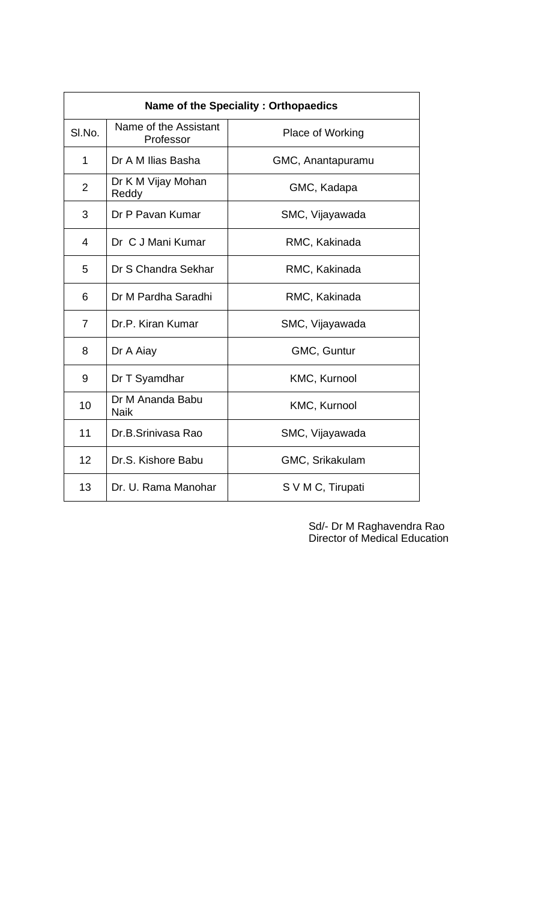| Name of the Speciality: Orthopaedics |                                    |                   |  |  |  |
|--------------------------------------|------------------------------------|-------------------|--|--|--|
| SI.No.                               | Name of the Assistant<br>Professor | Place of Working  |  |  |  |
| 1                                    | Dr A M Ilias Basha                 | GMC, Anantapuramu |  |  |  |
| $\overline{2}$                       | Dr K M Vijay Mohan<br>Reddy        | GMC, Kadapa       |  |  |  |
| 3                                    | Dr P Pavan Kumar                   | SMC, Vijayawada   |  |  |  |
| 4                                    | Dr C J Mani Kumar                  | RMC, Kakinada     |  |  |  |
| 5                                    | Dr S Chandra Sekhar                | RMC, Kakinada     |  |  |  |
| 6                                    | Dr M Pardha Saradhi                | RMC, Kakinada     |  |  |  |
| $\overline{7}$                       | Dr.P. Kiran Kumar                  | SMC, Vijayawada   |  |  |  |
| 8                                    | Dr A Aiay                          | GMC, Guntur       |  |  |  |
| 9                                    | Dr T Syamdhar                      | KMC, Kurnool      |  |  |  |
| 10                                   | Dr M Ananda Babu<br><b>Naik</b>    | KMC, Kurnool      |  |  |  |
| 11                                   | Dr.B.Sriniyasa Rao                 | SMC, Vijayawada   |  |  |  |
| 12                                   | Dr.S. Kishore Babu                 | GMC, Srikakulam   |  |  |  |
| 13                                   | Dr. U. Rama Manohar                | S V M C, Tirupati |  |  |  |

 Sd/- Dr M Raghavendra Rao Director of Medical Education